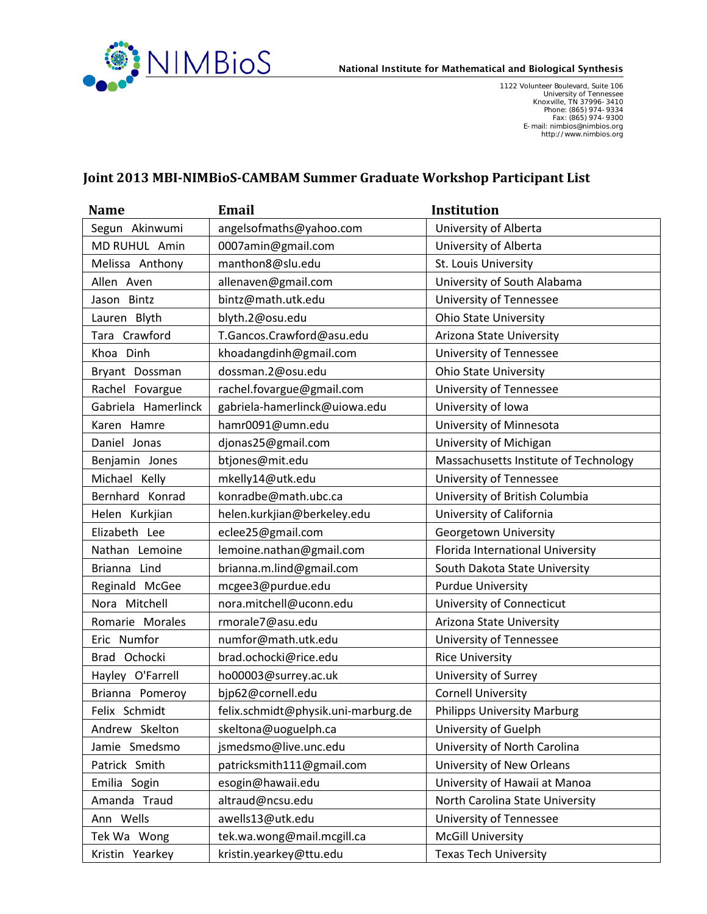

1122 Volunteer Boulevard, Suite 106<br>University of Tennessee<br>Rooxville, TN 37996-3410<br>Phone: (865) 974-9334<br>F-mail: nimbios@nimbios.org<br>http://www.nimbios.org

## **Joint 2013 MBI-NIMBioS-CAMBAM Summer Graduate Workshop Participant List**

| Name                | <b>Email</b>                        | <b>Institution</b>                    |
|---------------------|-------------------------------------|---------------------------------------|
| Segun Akinwumi      | angelsofmaths@yahoo.com             | University of Alberta                 |
| MD RUHUL Amin       | 0007amin@gmail.com                  | University of Alberta                 |
| Melissa Anthony     | manthon8@slu.edu                    | St. Louis University                  |
| Allen Aven          | allenaven@gmail.com                 | University of South Alabama           |
| Jason Bintz         | bintz@math.utk.edu                  | University of Tennessee               |
| Lauren Blyth        | blyth.2@osu.edu                     | <b>Ohio State University</b>          |
| Tara Crawford       | T.Gancos.Crawford@asu.edu           | Arizona State University              |
| Khoa Dinh           | khoadangdinh@gmail.com              | University of Tennessee               |
| Bryant Dossman      | dossman.2@osu.edu                   | <b>Ohio State University</b>          |
| Rachel Fovargue     | rachel.fovargue@gmail.com           | University of Tennessee               |
| Gabriela Hamerlinck | gabriela-hamerlinck@uiowa.edu       | University of Iowa                    |
| Karen Hamre         | hamr0091@umn.edu                    | University of Minnesota               |
| Daniel Jonas        | djonas25@gmail.com                  | University of Michigan                |
| Benjamin Jones      | btjones@mit.edu                     | Massachusetts Institute of Technology |
| Michael Kelly       | mkelly14@utk.edu                    | <b>University of Tennessee</b>        |
| Bernhard Konrad     | konradbe@math.ubc.ca                | University of British Columbia        |
| Helen Kurkjian      | helen.kurkjian@berkeley.edu         | University of California              |
| Elizabeth Lee       | eclee25@gmail.com                   | Georgetown University                 |
| Nathan Lemoine      | lemoine.nathan@gmail.com            | Florida International University      |
| Brianna Lind        | brianna.m.lind@gmail.com            | South Dakota State University         |
| Reginald McGee      | mcgee3@purdue.edu                   | <b>Purdue University</b>              |
| Nora Mitchell       | nora.mitchell@uconn.edu             | University of Connecticut             |
| Romarie Morales     | rmorale7@asu.edu                    | Arizona State University              |
| Eric Numfor         | numfor@math.utk.edu                 | University of Tennessee               |
| Brad Ochocki        | brad.ochocki@rice.edu               | <b>Rice University</b>                |
| Hayley O'Farrell    | ho00003@surrey.ac.uk                | University of Surrey                  |
| Brianna Pomeroy     | bjp62@cornell.edu                   | <b>Cornell University</b>             |
| Felix Schmidt       | felix.schmidt@physik.uni-marburg.de | <b>Philipps University Marburg</b>    |
| Andrew Skelton      | skeltona@uoguelph.ca                | University of Guelph                  |
| Jamie Smedsmo       | jsmedsmo@live.unc.edu               | University of North Carolina          |
| Patrick Smith       | patricksmith111@gmail.com           | University of New Orleans             |
| Emilia Sogin        | esogin@hawaii.edu                   | University of Hawaii at Manoa         |
| Amanda Traud        | altraud@ncsu.edu                    | North Carolina State University       |
| Ann Wells           | awells13@utk.edu                    | University of Tennessee               |
| Tek Wa Wong         | tek.wa.wong@mail.mcgill.ca          | <b>McGill University</b>              |
| Kristin Yearkey     | kristin.yearkey@ttu.edu             | <b>Texas Tech University</b>          |